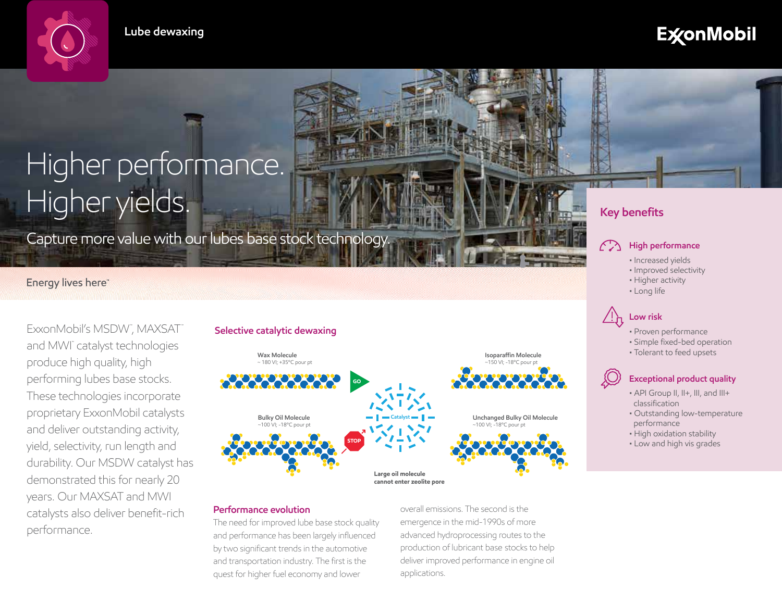**Lube dewaxing**

# **ExconMobil**

# Higher performance. Higher yields. **Isoparaffin molecule** (~150 VI; -18ºC pour pt)

Capture more value with our lubes base stock technology. **High performance** 

# Energy lives here"

ExxonMobil's MSDW", MAXSAT" and MWI™ catalyst technologies produce high quality, high performing lubes base stocks. These technologies incorporate proprietary ExxonMobil catalysts and deliver outstanding activity, yield, selectivity, run length and durability. Our MSDW catalyst has demonstrated this for nearly 20 years. Our MAXSAT and MWI catalysts also deliver benefit-rich performance.

# **Selective catalytic dewaxing**



# **Performance evolution**

The need for improved lube base stock quality and performance has been largely influenced by two significant trends in the automotive and transportation industry. The first is the quest for higher fuel economy and lower

overall emissions. The second is the emergence in the mid-1990s of more advanced hydroprocessing routes to the production of lubricant base stocks to help deliver improved performance in engine oil applications.

# **Key benefits**

- Increased yields
- Improved selectivity
- Higher activity
- Long life

# **Low risk**

- Proven performance
- Simple fixed-bed operation
- Tolerant to feed upsets

# **Exceptional product quality**

- API Group II, II+, III, and III+ classification
- Outstanding low-temperature performance
- High oxidation stability
- Low and high vis grades